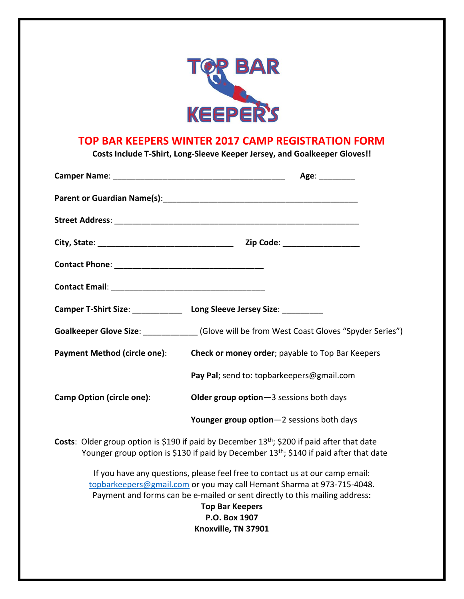

## **TOP BAR KEEPERS WINTER 2017 CAMP REGISTRATION FORM**

**Costs Include T-Shirt, Long-Sleeve Keeper Jersey, and Goalkeeper Gloves!!**

|                                                                                                                                                                                                                      | Age: and the same of the same of the same of the same of the same of the same of the same of the same of the s                                                                                                                                                                                          |  |  |
|----------------------------------------------------------------------------------------------------------------------------------------------------------------------------------------------------------------------|---------------------------------------------------------------------------------------------------------------------------------------------------------------------------------------------------------------------------------------------------------------------------------------------------------|--|--|
|                                                                                                                                                                                                                      |                                                                                                                                                                                                                                                                                                         |  |  |
|                                                                                                                                                                                                                      |                                                                                                                                                                                                                                                                                                         |  |  |
|                                                                                                                                                                                                                      |                                                                                                                                                                                                                                                                                                         |  |  |
|                                                                                                                                                                                                                      |                                                                                                                                                                                                                                                                                                         |  |  |
|                                                                                                                                                                                                                      |                                                                                                                                                                                                                                                                                                         |  |  |
|                                                                                                                                                                                                                      | Camper T-Shirt Size: Long Sleeve Jersey Size: ________                                                                                                                                                                                                                                                  |  |  |
|                                                                                                                                                                                                                      | Goalkeeper Glove Size: (Glove will be from West Coast Gloves "Spyder Series")                                                                                                                                                                                                                           |  |  |
| <b>Payment Method (circle one):</b>                                                                                                                                                                                  | Check or money order; payable to Top Bar Keepers                                                                                                                                                                                                                                                        |  |  |
|                                                                                                                                                                                                                      | Pay Pal; send to: topbarkeepers@gmail.com                                                                                                                                                                                                                                                               |  |  |
| Camp Option (circle one):                                                                                                                                                                                            | Older group option-3 sessions both days                                                                                                                                                                                                                                                                 |  |  |
|                                                                                                                                                                                                                      | Younger group option-2 sessions both days                                                                                                                                                                                                                                                               |  |  |
| <b>Costs:</b> Older group option is \$190 if paid by December 13 <sup>th</sup> ; \$200 if paid after that date<br>Younger group option is \$130 if paid by December 13 <sup>th</sup> ; \$140 if paid after that date |                                                                                                                                                                                                                                                                                                         |  |  |
|                                                                                                                                                                                                                      | If you have any questions, please feel free to contact us at our camp email:<br>topbarkeepers@gmail.com or you may call Hemant Sharma at 973-715-4048.<br>Payment and forms can be e-mailed or sent directly to this mailing address:<br><b>Top Bar Keepers</b><br>P.O. Box 1907<br>Knoxville, TN 37901 |  |  |